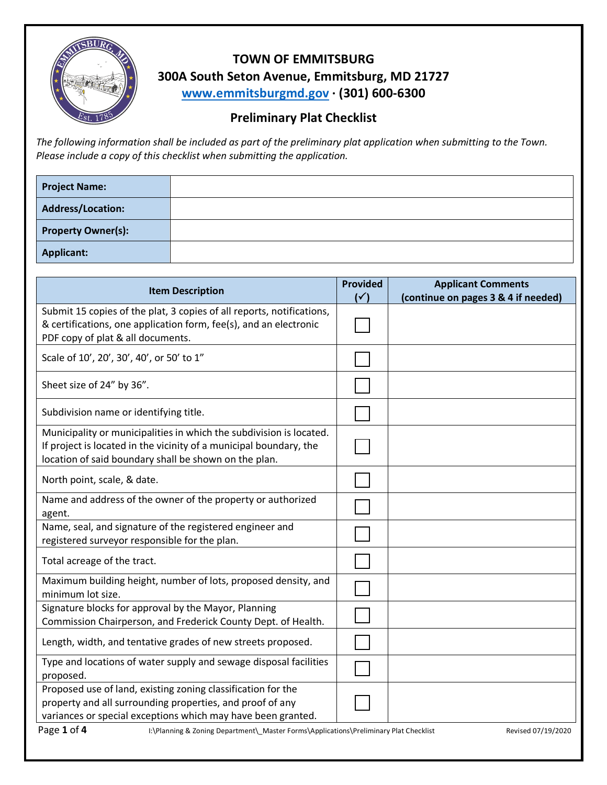

## **TOWN OF EMMITSBURG 300A South Seton Avenue, Emmitsburg, MD 21727 www.emmitsburgmd.gov · (301) 600-6300**

## **Preliminary Plat Checklist**

*The following information shall be included as part of the preliminary plat application when submitting to the Town. Please include a copy of this checklist when submitting the application.* 

| <b>Project Name:</b>      |  |
|---------------------------|--|
| Address/Location:         |  |
| <b>Property Owner(s):</b> |  |
| <b>Applicant:</b>         |  |

| <b>Item Description</b>                                                                                                                                                                            |  | <b>Applicant Comments</b><br>(continue on pages 3 & 4 if needed) |  |  |  |
|----------------------------------------------------------------------------------------------------------------------------------------------------------------------------------------------------|--|------------------------------------------------------------------|--|--|--|
| Submit 15 copies of the plat, 3 copies of all reports, notifications,<br>& certifications, one application form, fee(s), and an electronic<br>PDF copy of plat & all documents.                    |  |                                                                  |  |  |  |
| Scale of 10', 20', 30', 40', or 50' to 1"                                                                                                                                                          |  |                                                                  |  |  |  |
| Sheet size of 24" by 36".                                                                                                                                                                          |  |                                                                  |  |  |  |
| Subdivision name or identifying title.                                                                                                                                                             |  |                                                                  |  |  |  |
| Municipality or municipalities in which the subdivision is located.<br>If project is located in the vicinity of a municipal boundary, the<br>location of said boundary shall be shown on the plan. |  |                                                                  |  |  |  |
| North point, scale, & date.                                                                                                                                                                        |  |                                                                  |  |  |  |
| Name and address of the owner of the property or authorized<br>agent.                                                                                                                              |  |                                                                  |  |  |  |
| Name, seal, and signature of the registered engineer and<br>registered surveyor responsible for the plan.                                                                                          |  |                                                                  |  |  |  |
| Total acreage of the tract.                                                                                                                                                                        |  |                                                                  |  |  |  |
| Maximum building height, number of lots, proposed density, and<br>minimum lot size.                                                                                                                |  |                                                                  |  |  |  |
| Signature blocks for approval by the Mayor, Planning<br>Commission Chairperson, and Frederick County Dept. of Health.                                                                              |  |                                                                  |  |  |  |
| Length, width, and tentative grades of new streets proposed.                                                                                                                                       |  |                                                                  |  |  |  |
| Type and locations of water supply and sewage disposal facilities<br>proposed.                                                                                                                     |  |                                                                  |  |  |  |
| Proposed use of land, existing zoning classification for the<br>property and all surrounding properties, and proof of any<br>variances or special exceptions which may have been granted.          |  |                                                                  |  |  |  |
| Page 1 of 4<br>I:\Planning & Zoning Department\_Master Forms\Applications\Preliminary Plat Checklist<br>Revised 07/19/2020                                                                         |  |                                                                  |  |  |  |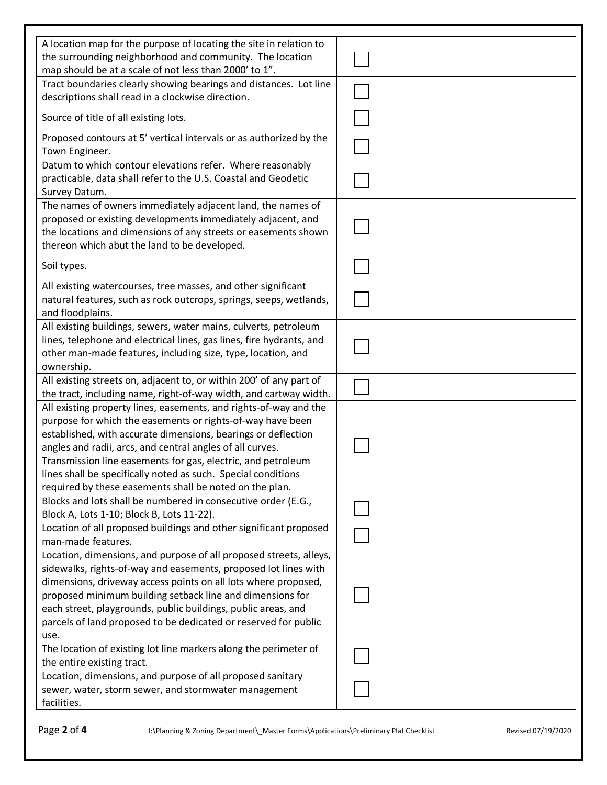| A location map for the purpose of locating the site in relation to                             |  |  |
|------------------------------------------------------------------------------------------------|--|--|
| the surrounding neighborhood and community. The location                                       |  |  |
| map should be at a scale of not less than 2000' to 1".                                         |  |  |
| Tract boundaries clearly showing bearings and distances. Lot line                              |  |  |
| descriptions shall read in a clockwise direction.                                              |  |  |
| Source of title of all existing lots.                                                          |  |  |
| Proposed contours at 5' vertical intervals or as authorized by the                             |  |  |
| Town Engineer.                                                                                 |  |  |
| Datum to which contour elevations refer. Where reasonably                                      |  |  |
| practicable, data shall refer to the U.S. Coastal and Geodetic                                 |  |  |
| Survey Datum.                                                                                  |  |  |
| The names of owners immediately adjacent land, the names of                                    |  |  |
| proposed or existing developments immediately adjacent, and                                    |  |  |
| the locations and dimensions of any streets or easements shown                                 |  |  |
| thereon which abut the land to be developed.                                                   |  |  |
| Soil types.                                                                                    |  |  |
|                                                                                                |  |  |
| All existing watercourses, tree masses, and other significant                                  |  |  |
| natural features, such as rock outcrops, springs, seeps, wetlands,                             |  |  |
| and floodplains.                                                                               |  |  |
| All existing buildings, sewers, water mains, culverts, petroleum                               |  |  |
| lines, telephone and electrical lines, gas lines, fire hydrants, and                           |  |  |
| other man-made features, including size, type, location, and                                   |  |  |
| ownership.                                                                                     |  |  |
| All existing streets on, adjacent to, or within 200' of any part of                            |  |  |
| the tract, including name, right-of-way width, and cartway width.                              |  |  |
| All existing property lines, easements, and rights-of-way and the                              |  |  |
| purpose for which the easements or rights-of-way have been                                     |  |  |
| established, with accurate dimensions, bearings or deflection                                  |  |  |
| angles and radii, arcs, and central angles of all curves.                                      |  |  |
| Transmission line easements for gas, electric, and petroleum                                   |  |  |
| lines shall be specifically noted as such. Special conditions                                  |  |  |
| required by these easements shall be noted on the plan.                                        |  |  |
| Blocks and lots shall be numbered in consecutive order (E.G.,                                  |  |  |
| Block A, Lots 1-10; Block B, Lots 11-22).                                                      |  |  |
| Location of all proposed buildings and other significant proposed                              |  |  |
| man-made features.                                                                             |  |  |
| Location, dimensions, and purpose of all proposed streets, alleys,                             |  |  |
| sidewalks, rights-of-way and easements, proposed lot lines with                                |  |  |
| dimensions, driveway access points on all lots where proposed,                                 |  |  |
| proposed minimum building setback line and dimensions for                                      |  |  |
| each street, playgrounds, public buildings, public areas, and                                  |  |  |
| parcels of land proposed to be dedicated or reserved for public                                |  |  |
| use.                                                                                           |  |  |
| The location of existing lot line markers along the perimeter of<br>the entire existing tract. |  |  |
| Location, dimensions, and purpose of all proposed sanitary                                     |  |  |
| sewer, water, storm sewer, and stormwater management                                           |  |  |
| facilities.                                                                                    |  |  |
|                                                                                                |  |  |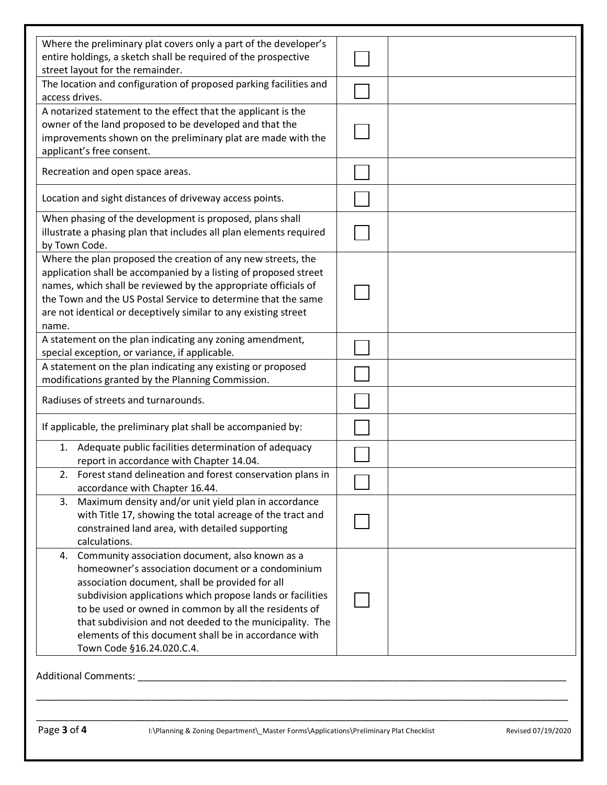| Where the preliminary plat covers only a part of the developer's   |  |  |
|--------------------------------------------------------------------|--|--|
| entire holdings, a sketch shall be required of the prospective     |  |  |
| street layout for the remainder.                                   |  |  |
| The location and configuration of proposed parking facilities and  |  |  |
| access drives.                                                     |  |  |
| A notarized statement to the effect that the applicant is the      |  |  |
| owner of the land proposed to be developed and that the            |  |  |
| improvements shown on the preliminary plat are made with the       |  |  |
| applicant's free consent.                                          |  |  |
|                                                                    |  |  |
| Recreation and open space areas.                                   |  |  |
|                                                                    |  |  |
| Location and sight distances of driveway access points.            |  |  |
| When phasing of the development is proposed, plans shall           |  |  |
| illustrate a phasing plan that includes all plan elements required |  |  |
| by Town Code.                                                      |  |  |
| Where the plan proposed the creation of any new streets, the       |  |  |
| application shall be accompanied by a listing of proposed street   |  |  |
|                                                                    |  |  |
| names, which shall be reviewed by the appropriate officials of     |  |  |
| the Town and the US Postal Service to determine that the same      |  |  |
| are not identical or deceptively similar to any existing street    |  |  |
| name.                                                              |  |  |
| A statement on the plan indicating any zoning amendment,           |  |  |
| special exception, or variance, if applicable.                     |  |  |
| A statement on the plan indicating any existing or proposed        |  |  |
| modifications granted by the Planning Commission.                  |  |  |
| Radiuses of streets and turnarounds.                               |  |  |
|                                                                    |  |  |
| If applicable, the preliminary plat shall be accompanied by:       |  |  |
| 1. Adequate public facilities determination of adequacy            |  |  |
| report in accordance with Chapter 14.04.                           |  |  |
| 2. Forest stand delineation and forest conservation plans in       |  |  |
| accordance with Chapter 16.44.                                     |  |  |
| Maximum density and/or unit yield plan in accordance<br>3.         |  |  |
| with Title 17, showing the total acreage of the tract and          |  |  |
| constrained land area, with detailed supporting                    |  |  |
| calculations.                                                      |  |  |
| Community association document, also known as a<br>4.              |  |  |
| homeowner's association document or a condominium                  |  |  |
| association document, shall be provided for all                    |  |  |
| subdivision applications which propose lands or facilities         |  |  |
| to be used or owned in common by all the residents of              |  |  |
|                                                                    |  |  |
| that subdivision and not deeded to the municipality. The           |  |  |
| elements of this document shall be in accordance with              |  |  |
| Town Code §16.24.020.C.4.                                          |  |  |
|                                                                    |  |  |
| Additional Comments:                                               |  |  |

\_\_\_\_\_\_\_\_\_\_\_\_\_\_\_\_\_\_\_\_\_\_\_\_\_\_\_\_\_\_\_\_\_\_\_\_\_\_\_\_\_\_\_\_\_\_\_\_\_\_\_\_\_\_\_\_\_\_\_\_\_\_\_\_\_\_\_\_\_\_\_\_\_\_\_\_\_\_\_\_\_\_\_\_\_\_\_\_\_\_\_\_\_\_\_\_\_\_

\_\_\_\_\_\_\_\_\_\_\_\_\_\_\_\_\_\_\_\_\_\_\_\_\_\_\_\_\_\_\_\_\_\_\_\_\_\_\_\_\_\_\_\_\_\_\_\_\_\_\_\_\_\_\_\_\_\_\_\_\_\_\_\_\_\_\_\_\_\_\_\_\_\_\_\_\_\_\_\_\_\_\_\_\_\_\_\_\_\_\_\_\_\_\_\_\_\_